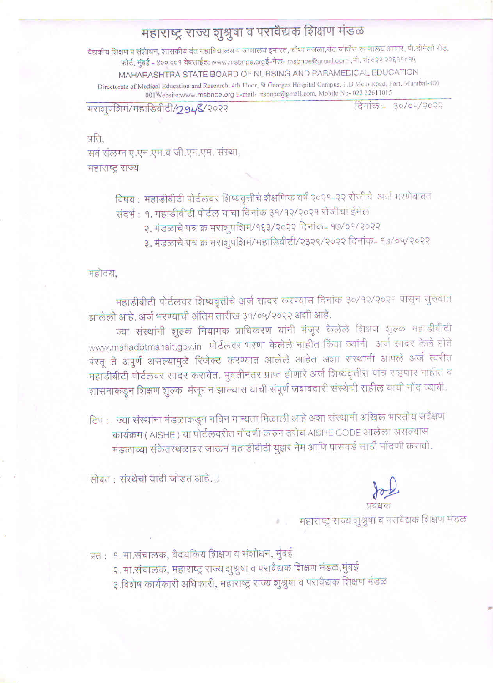## महाराष्ट्र राज्य शुश्रुषा व परावैद्यक शिक्षण मंडळ

वैद्यकीय शिक्षण व संशोधन, शासकीय दंत महाविद्यालय व रुग्णालय इमारत, चौथा मजला,सेंट जॉर्जेस रूग्णालय आवार, पी.डीमेलो रोड, फोर्ट, मुंबई – ४०० ००१.वेबसाईट: www.msbnpe.orgई-मेल- msbnpe@gmail.com ,मो. नं: ०२२ २२६११०१५ MAHARASHTRA STATE BOARD OF NURSING AND PARAMEDICAL EDUCATION Directorate of Medical Education and Research, 4th Floor, St.Georges Hospital Campus, P.D'Melo Road, Fort, Mumbai-400

001Website:www.msbnpe.org E-mail- msbnpe@gmail.com, Mobile No- 022 22611015

मराशुपशिमं/महाडिबीटी/294&/२०२२

दिनांक: 30/04/२०२२

प्रति.

सर्व संलग्न ए.एन.एम.व जी.एन.एम. संस्था, महाराष्ट्र राज्य

विषय : महाडीबीटी पोर्टलवर शिष्यवृत्तीचे शैक्षणिक वर्ष २०२१-२२ रोजीचे अर्ज भरणेबाबत.

- संदर्भ : १. महाडीबीटी पोर्टल यांचा दिनांक ३१/१२/२०२१ रोजीचा ईमेल
	- २. मंडळाचे पत्र क्र मराशुपशिमं/१६३/२०२२ दिनांक- १७/०१/२०२२
	- ३. मंडळाचे पत्र क्र मराशुपशिमं/महाडिवीटी/२३२९/२०२२ दिनांक- १७/०५/२०२२

महोदय,

महाडीबीटी पोर्टलवर शिष्यवृत्तीचे अर्ज सादर करण्यास दिनांक ३०/१२/२०२१ पासून सुरुवात झालेली आहे. अर्ज भरण्याची अंतिम तारीख ३१/०५/२०२२ अशी आहे.

ज्या संस्थांनी शुल्क नियामक प्राधिकरण यांनी मंजूर केलेले शिक्षण शुल्क महाडीबीटी www.mahadbtmahait.gov.in पोर्टलवर भरणा केलेले नाहीत किंवा ज्यांनी अर्ज सादर केले होते पंरतू ते अपुर्ण असल्यामुळे रिजेक्ट करण्यात आलेले आहेत अशा संस्थांनी आपले अर्ज त्वरीत महाडीबीटी पोर्टलवर सादर करावेत. मुदतीनंतर प्राप्त होणारे अर्ज शिष्यवृत्तीस पात्र राहणार नाहीत व शासनाकडून शिक्षण शुल्क-मंजूर न झाल्यास याची संपूर्ण जबाबदारी संस्थेची राहील याची नोंद घ्यावी.

टिप :– ज्या संस्थांना मंडळाकडून नविन मान्यता मिळाली आहे अशा संस्थानी अखिल भारतीय सर्वेक्षण कार्यक्रम ( AISHE ) या पोर्टलवरीत नोंदणी करुन तसेच AISHE CODE आलेला असल्यास मंडळाच्या संकेतस्थळावर जाऊन महाडीबीटी युझर नेम आणि पासवर्ड साठी नोंदणी करावी.

सोबत: संस्थेची यादी जोडत आहे.

महाराष्ट्र राज्य शुश्रुषा व परावैद्यक शिक्षण मंडळ

प्रतः १. मा.संचालक, वैदयकिय शिक्षण व संशोधन, मुंबई

२. मा.संचालक, महाराष्ट्र राज्य शुश्रुषा व परावैद्यक शिक्षण मंडळ,मुंबई

३.विशेष कार्यकारी अधिकारी, महाराष्ट्र राज्य शुश्रुषा व परावेद्यक शिक्षण मंडळ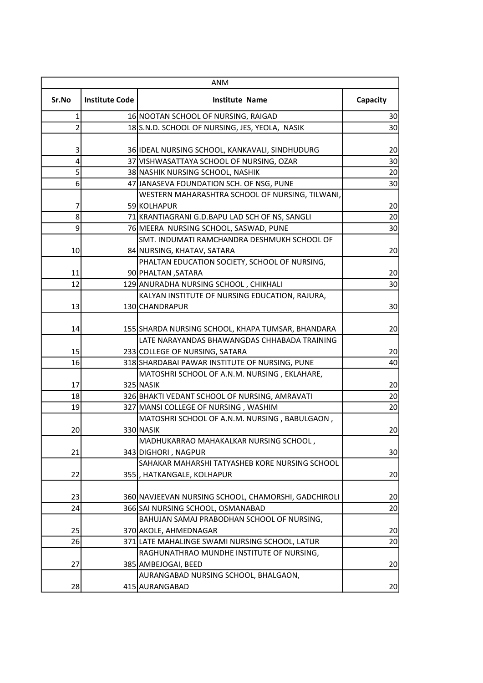| ANM            |                       |                                                     |          |
|----------------|-----------------------|-----------------------------------------------------|----------|
| Sr.No          | <b>Institute Code</b> | <b>Institute Name</b>                               | Capacity |
| 1              |                       | 16 NOOTAN SCHOOL OF NURSING, RAIGAD                 | 30       |
| $\overline{2}$ |                       | 18 S.N.D. SCHOOL OF NURSING, JES, YEOLA, NASIK      | 30       |
|                |                       |                                                     |          |
| 3              |                       | 36 IDEAL NURSING SCHOOL, KANKAVALI, SINDHUDURG      | 20       |
| $\overline{4}$ |                       | 37 VISHWASATTAYA SCHOOL OF NURSING, OZAR            | 30       |
| 5 <sup>1</sup> |                       | 38 NASHIK NURSING SCHOOL, NASHIK                    | 20       |
| 6              |                       | 47 JANASEVA FOUNDATION SCH. OF NSG, PUNE            | 30       |
|                |                       | WESTERN MAHARASHTRA SCHOOL OF NURSING, TILWANI,     |          |
| 7              |                       | 59 KOLHAPUR                                         | 20       |
| 8              |                       | 71 KRANTIAGRANI G.D.BAPU LAD SCH OF NS, SANGLI      | 20       |
| $\overline{9}$ |                       | 76 MEERA NURSING SCHOOL, SASWAD, PUNE               | 30       |
|                |                       | ISMT. INDUMATI RAMCHANDRA DESHMUKH SCHOOL OF        |          |
| 10             |                       | 84 NURSING, KHATAV, SATARA                          | 20       |
|                |                       | PHALTAN EDUCATION SOCIETY, SCHOOL OF NURSING,       |          |
| 11             |                       | 90 PHALTAN, SATARA                                  | 20       |
| 12             |                       | 129 ANURADHA NURSING SCHOOL, CHIKHALI               | 30       |
|                |                       | KALYAN INSTITUTE OF NURSING EDUCATION, RAJURA,      |          |
| 13             |                       | 130 CHANDRAPUR                                      | 30       |
|                |                       |                                                     |          |
| 14             |                       | 155 SHARDA NURSING SCHOOL, KHAPA TUMSAR, BHANDARA   | 20       |
|                |                       | LATE NARAYANDAS BHAWANGDAS CHHABADA TRAINING        |          |
| 15             |                       | 233 COLLEGE OF NURSING, SATARA                      | 20       |
| 16             |                       | 318 SHARDABAI PAWAR INSTITUTE OF NURSING, PUNE      | 40       |
|                |                       | MATOSHRI SCHOOL OF A.N.M. NURSING, EKLAHARE,        |          |
| 17             |                       | 325 NASIK                                           | 20       |
| 18             |                       | 326 BHAKTI VEDANT SCHOOL OF NURSING, AMRAVATI       | 20       |
| 19             |                       | 327 MANSI COLLEGE OF NURSING, WASHIM                | 20       |
|                |                       | MATOSHRI SCHOOL OF A.N.M. NURSING, BABULGAON,       |          |
| 20             |                       | 330 NASIK                                           | 20       |
|                |                       | MADHUKARRAO MAHAKALKAR NURSING SCHOOL,              |          |
| 21             |                       | 343 DIGHORI, NAGPUR                                 | 30       |
|                |                       | SAHAKAR MAHARSHI TATYASHEB KORE NURSING SCHOOL      |          |
| 22             |                       | 355, HATKANGALE, KOLHAPUR                           | 20       |
|                |                       |                                                     |          |
| 23             |                       | 360 NAVJEEVAN NURSING SCHOOL, CHAMORSHI, GADCHIROLI | 20       |
| 24             |                       | 366 SAI NURSING SCHOOL, OSMANABAD                   | 20       |
|                |                       | BAHUJAN SAMAJ PRABODHAN SCHOOL OF NURSING,          |          |
| 25             |                       | 370 AKOLE, AHMEDNAGAR                               | 20       |
| 26             |                       | 371 LATE MAHALINGE SWAMI NURSING SCHOOL, LATUR      | 20       |
|                |                       | RAGHUNATHRAO MUNDHE INSTITUTE OF NURSING,           |          |
| 27             |                       | 385 AMBEJOGAI, BEED                                 | 20       |
|                |                       | AURANGABAD NURSING SCHOOL, BHALGAON,                |          |
| 28             |                       | 415 AURANGABAD                                      | 20       |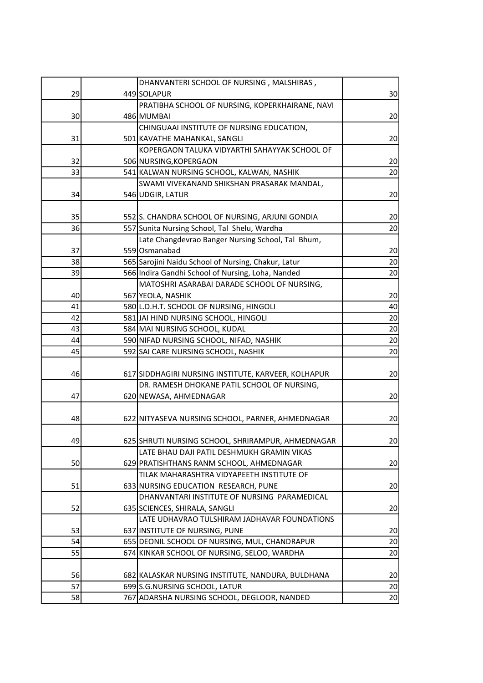|    | DHANVANTERI SCHOOL OF NURSING, MALSHIRAS,           |                 |
|----|-----------------------------------------------------|-----------------|
| 29 | 449 SOLAPUR                                         | 30              |
|    | PRATIBHA SCHOOL OF NURSING, KOPERKHAIRANE, NAVI     |                 |
| 30 | 486 MUMBAI                                          | 20              |
|    | CHINGUAAI INSTITUTE OF NURSING EDUCATION,           |                 |
| 31 | 501 KAVATHE MAHANKAL, SANGLI                        | 20              |
|    | KOPERGAON TALUKA VIDYARTHI SAHAYYAK SCHOOL OF       |                 |
| 32 | 506 NURSING, KOPERGAON                              | 20              |
| 33 | 541 KALWAN NURSING SCHOOL, KALWAN, NASHIK           | 20              |
|    | SWAMI VIVEKANAND SHIKSHAN PRASARAK MANDAL,          |                 |
| 34 | 546 UDGIR, LATUR                                    | 20              |
|    |                                                     |                 |
| 35 | 552 S. CHANDRA SCHOOL OF NURSING, ARJUNI GONDIA     | 20              |
| 36 | 557 Sunita Nursing School, Tal Shelu, Wardha        | 20              |
|    | Late Changdevrao Banger Nursing School, Tal Bhum,   |                 |
| 37 | 559 Osmanabad                                       | 20              |
| 38 | 565 Sarojini Naidu School of Nursing, Chakur, Latur | 20              |
| 39 | 566 Indira Gandhi School of Nursing, Loha, Nanded   | 20              |
|    | MATOSHRI ASARABAI DARADE SCHOOL OF NURSING,         |                 |
| 40 | 567 YEOLA, NASHIK                                   | 20              |
| 41 | 580 L.D.H.T. SCHOOL OF NURSING, HINGOLI             | 40              |
| 42 | 581 JAI HIND NURSING SCHOOL, HINGOLI                | 20              |
| 43 | 584 MAI NURSING SCHOOL, KUDAL                       | 20              |
| 44 | 590 NIFAD NURSING SCHOOL, NIFAD, NASHIK             | 20              |
| 45 | 592 SAI CARE NURSING SCHOOL, NASHIK                 | 20              |
|    |                                                     |                 |
| 46 | 617 SIDDHAGIRI NURSING INSTITUTE, KARVEER, KOLHAPUR | 20              |
|    | DR. RAMESH DHOKANE PATIL SCHOOL OF NURSING,         |                 |
| 47 | 620 NEWASA, AHMEDNAGAR                              | 20              |
|    |                                                     |                 |
| 48 | 622 NITYASEVA NURSING SCHOOL, PARNER, AHMEDNAGAR    | 20              |
|    |                                                     |                 |
|    | 625 SHRUTI NURSING SCHOOL, SHRIRAMPUR, AHMEDNAGAR   | 20 <sub>2</sub> |
| 49 | LATE BHAU DAJI PATIL DESHMUKH GRAMIN VIKAS          |                 |
| 50 | 629 PRATISHTHANS RANM SCHOOL, AHMEDNAGAR            |                 |
|    |                                                     | 20              |
|    | TILAK MAHARASHTRA VIDYAPEETH INSTITUTE OF           |                 |
| 51 | 633 NURSING EDUCATION RESEARCH, PUNE                | 20              |
|    | DHANVANTARI INSTITUTE OF NURSING PARAMEDICAL        |                 |
| 52 | 635 SCIENCES, SHIRALA, SANGLI                       | 20              |
|    | LATE UDHAVRAO TULSHIRAM JADHAVAR FOUNDATIONS        |                 |
| 53 | 637 INSTITUTE OF NURSING, PUNE                      | 20              |
| 54 | 655 DEONIL SCHOOL OF NURSING, MUL, CHANDRAPUR       | 20              |
| 55 | 674 KINKAR SCHOOL OF NURSING, SELOO, WARDHA         | 20              |
|    |                                                     |                 |
| 56 | 682 KALASKAR NURSING INSTITUTE, NANDURA, BULDHANA   | 20              |
| 57 | 699 S.G. NURSING SCHOOL, LATUR                      | 20              |
| 58 | 767 ADARSHA NURSING SCHOOL, DEGLOOR, NANDED         | 20              |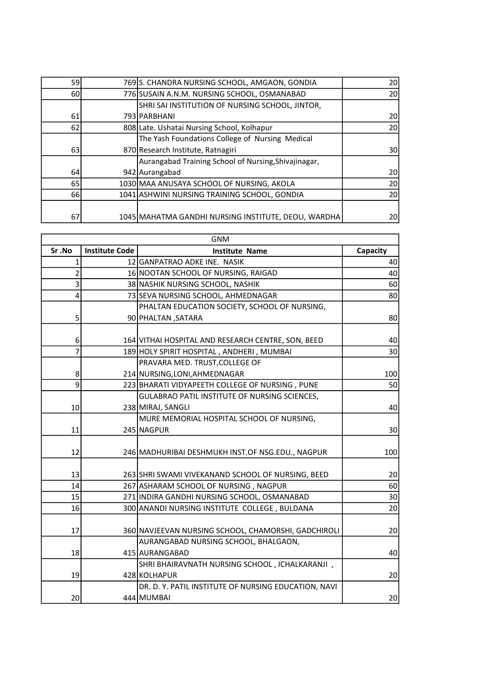|                                                      | <b>20</b>                                                                                                                                                                                                                                                                                                                                                                                                                 |
|------------------------------------------------------|---------------------------------------------------------------------------------------------------------------------------------------------------------------------------------------------------------------------------------------------------------------------------------------------------------------------------------------------------------------------------------------------------------------------------|
|                                                      | 20                                                                                                                                                                                                                                                                                                                                                                                                                        |
|                                                      |                                                                                                                                                                                                                                                                                                                                                                                                                           |
|                                                      | 20                                                                                                                                                                                                                                                                                                                                                                                                                        |
|                                                      | 20                                                                                                                                                                                                                                                                                                                                                                                                                        |
| The Yash Foundations College of Nursing Medical      |                                                                                                                                                                                                                                                                                                                                                                                                                           |
|                                                      | 30 <sup>2</sup>                                                                                                                                                                                                                                                                                                                                                                                                           |
| Aurangabad Training School of Nursing, Shivajinagar, |                                                                                                                                                                                                                                                                                                                                                                                                                           |
|                                                      | 20                                                                                                                                                                                                                                                                                                                                                                                                                        |
|                                                      | 20                                                                                                                                                                                                                                                                                                                                                                                                                        |
|                                                      | 20 <sup>1</sup>                                                                                                                                                                                                                                                                                                                                                                                                           |
|                                                      |                                                                                                                                                                                                                                                                                                                                                                                                                           |
|                                                      | 20                                                                                                                                                                                                                                                                                                                                                                                                                        |
|                                                      | 769 S. CHANDRA NURSING SCHOOL, AMGAON, GONDIA<br>776 SUSAIN A.N.M. NURSING SCHOOL, OSMANABAD<br>SHRI SAI INSTITUTION OF NURSING SCHOOL, JINTOR,<br>793 PARBHANI<br>808 Late. Ushatai Nursing School, Kolhapur<br>870 Research Institute, Ratnagiri<br>942 Aurangabad<br>1030 MAA ANUSAYA SCHOOL OF NURSING, AKOLA<br>1041 ASHWINI NURSING TRAINING SCHOOL, GONDIA<br>1045 MAHATMA GANDHI NURSING INSTITUTE, DEOLI, WARDHA |

| <b>GNM</b>              |                       |                                                      |          |
|-------------------------|-----------------------|------------------------------------------------------|----------|
| Sr.No                   | <b>Institute Code</b> | <b>Institute Name</b>                                | Capacity |
| $\mathbf{1}$            |                       | 12 GANPATRAO ADKE INE. NASIK                         | 40       |
| $\overline{2}$          |                       | 16 NOOTAN SCHOOL OF NURSING, RAIGAD                  | 40       |
| 3                       |                       | 38 NASHIK NURSING SCHOOL, NASHIK                     | 60       |
| $\overline{\mathbf{4}}$ |                       | 73 SEVA NURSING SCHOOL, AHMEDNAGAR                   | 80       |
|                         |                       | PHALTAN EDUCATION SOCIETY, SCHOOL OF NURSING,        |          |
| 5                       |                       | 90 PHALTAN , SATARA                                  | 80       |
|                         |                       |                                                      |          |
| 6                       |                       | 164 VITHAI HOSPITAL AND RESEARCH CENTRE, SON, BEED   | 40       |
| 7                       |                       | 189 HOLY SPIRIT HOSPITAL, ANDHERI, MUMBAI            | 30       |
|                         |                       | PRAVARA MED. TRUST, COLLEGE OF                       |          |
| 8                       |                       | 214 NURSING, LONI, AHMEDNAGAR                        | 100      |
| 9                       |                       | 223 BHARATI VIDYAPEETH COLLEGE OF NURSING, PUNE      | 50       |
|                         |                       | GULABRAO PATIL INSTITUTE OF NURSING SCIENCES,        |          |
| 10                      |                       | 238 MIRAJ, SANGLI                                    | 40       |
|                         |                       | MURE MEMORIAL HOSPITAL SCHOOL OF NURSING,            |          |
| 11                      |                       | 245 NAGPUR                                           | 30       |
|                         |                       |                                                      |          |
| 12                      |                       | 246 MADHURIBAI DESHMUKH INST.OF NSG.EDU., NAGPUR     | 100      |
|                         |                       |                                                      |          |
| 13                      |                       | 263 SHRI SWAMI VIVEKANAND SCHOOL OF NURSING, BEED    | 20       |
| 14                      |                       | 267 ASHARAM SCHOOL OF NURSING, NAGPUR                | 60       |
| 15                      |                       | 271 INDIRA GANDHI NURSING SCHOOL, OSMANABAD          | 30       |
| 16                      |                       | 300 ANANDI NURSING INSTITUTE COLLEGE, BULDANA        | 20       |
|                         |                       |                                                      |          |
| 17                      |                       | 360 NAVJEEVAN NURSING SCHOOL, CHAMORSHI, GADCHIROLI  | 20       |
|                         |                       | AURANGABAD NURSING SCHOOL, BHALGAON,                 |          |
| 18                      |                       | 415 AURANGABAD                                       | 40       |
|                         |                       | SHRI BHAIRAVNATH NURSING SCHOOL, ICHALKARANJI,       |          |
| 19                      |                       | 428 KOLHAPUR                                         | 20       |
|                         |                       | DR. D. Y. PATIL INSTITUTE OF NURSING EDUCATION, NAVI |          |
| 20                      |                       | 444 MUMBAI                                           | 20       |